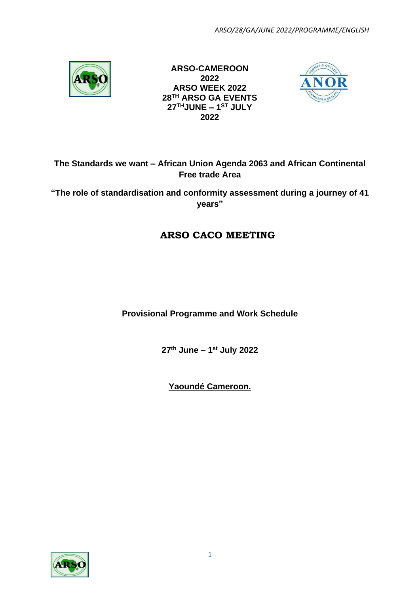

**ARSO-CAMEROON 2022 ARSO WEEK 2022 28TH ARSO GA EVENTS 27THJUNE – 1 ST JULY 2022**



## **The Standards we want – African Union Agenda 2063 and African Continental Free trade Area**

**"The role of standardisation and conformity assessment during a journey of 41 years"**

## **ARSO CACO MEETING**

**Provisional Programme and Work Schedule**

**27 th June – 1 st July 2022**

**Yaoundé Cameroon.**

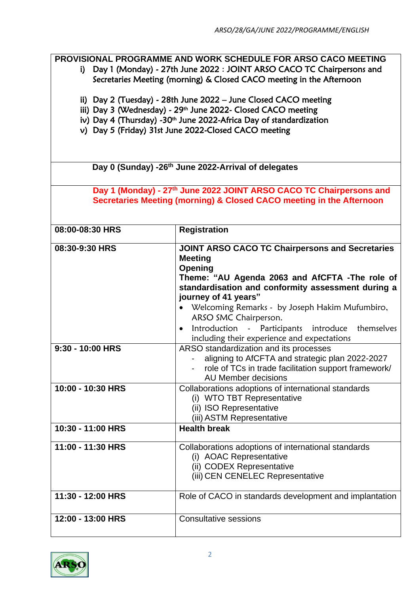**PROVISIONAL PROGRAMME AND WORK SCHEDULE FOR ARSO CACO MEETING**

- i) Day 1 (Monday) 27th June 2022 : JOINT ARSO CACO TC Chairpersons and Secretaries Meeting (morning) & Closed CACO meeting in the Afternoon
- ii) Day 2 (Tuesday) 28th June 2022 June Closed CACO meeting
- iii) Day 3 (Wednesday) 29<sup>th</sup> June 2022- Closed CACO meeting
- iv) Day 4 (Thursday) -30<sup>th</sup> June 2022-Africa Day of standardization
- v) Day 5 (Friday) 31st June 2022-Closed CACO meeting

 **Day 0 (Sunday) -26th June 2022-Arrival of delegates**

**Day 1 (Monday) - 27 th June 2022 JOINT ARSO CACO TC Chairpersons and Secretaries Meeting (morning) & Closed CACO meeting in the Afternoon**

| 08:00-08:30 HRS   | <b>Registration</b>                                                                                                                                                                                                                                                                                                                                |
|-------------------|----------------------------------------------------------------------------------------------------------------------------------------------------------------------------------------------------------------------------------------------------------------------------------------------------------------------------------------------------|
| 08:30-9:30 HRS    | <b>JOINT ARSO CACO TC Chairpersons and Secretaries</b><br><b>Meeting</b><br>Opening<br>Theme: "AU Agenda 2063 and AfCFTA -The role of<br>standardisation and conformity assessment during a<br>journey of 41 years"<br>Welcoming Remarks - by Joseph Hakim Mufumbiro,<br>ARSO SMC Chairperson.<br>Introduction - Participants introduce themselves |
|                   | including their experience and expectations                                                                                                                                                                                                                                                                                                        |
| 9:30 - 10:00 HRS  | ARSO standardization and its processes<br>aligning to AfCFTA and strategic plan 2022-2027<br>role of TCs in trade facilitation support framework/<br>AU Member decisions                                                                                                                                                                           |
| 10:00 - 10:30 HRS | Collaborations adoptions of international standards<br>(i) WTO TBT Representative<br>(ii) ISO Representative<br>(iii) ASTM Representative                                                                                                                                                                                                          |
| 10:30 - 11:00 HRS | <b>Health break</b>                                                                                                                                                                                                                                                                                                                                |
| 11:00 - 11:30 HRS | Collaborations adoptions of international standards<br>(i) AOAC Representative<br>(ii) CODEX Representative<br>(iii) CEN CENELEC Representative                                                                                                                                                                                                    |
| 11:30 - 12:00 HRS | Role of CACO in standards development and implantation                                                                                                                                                                                                                                                                                             |
| 12:00 - 13:00 HRS | <b>Consultative sessions</b>                                                                                                                                                                                                                                                                                                                       |

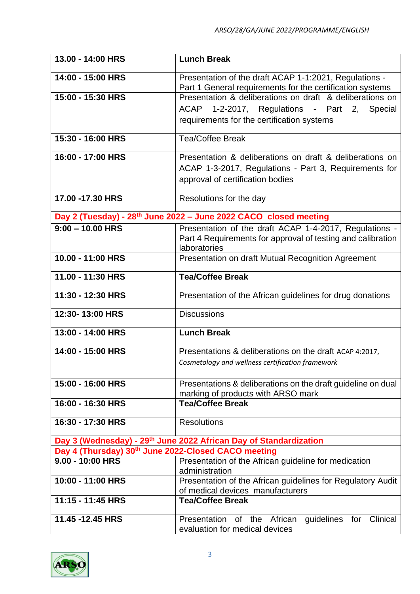| 13.00 - 14:00 HRS                                   | <b>Lunch Break</b>                                                                                                  |
|-----------------------------------------------------|---------------------------------------------------------------------------------------------------------------------|
| 14:00 - 15:00 HRS                                   | Presentation of the draft ACAP 1-1:2021, Regulations -<br>Part 1 General requirements for the certification systems |
| 15:00 - 15:30 HRS                                   | Presentation & deliberations on draft & deliberations on                                                            |
|                                                     | ACAP 1-2-2017, Regulations - Part 2, Special                                                                        |
|                                                     | requirements for the certification systems                                                                          |
|                                                     |                                                                                                                     |
| 15:30 - 16:00 HRS                                   | <b>Tea/Coffee Break</b>                                                                                             |
| 16:00 - 17:00 HRS                                   | Presentation & deliberations on draft & deliberations on                                                            |
|                                                     | ACAP 1-3-2017, Regulations - Part 3, Requirements for                                                               |
|                                                     | approval of certification bodies                                                                                    |
| 17.00 - 17.30 HRS                                   | Resolutions for the day                                                                                             |
|                                                     |                                                                                                                     |
|                                                     | Day 2 (Tuesday) - 28 <sup>th</sup> June 2022 - June 2022 CACO closed meeting                                        |
| $9:00 - 10.00$ HRS                                  | Presentation of the draft ACAP 1-4-2017, Regulations -                                                              |
|                                                     | Part 4 Requirements for approval of testing and calibration<br>laboratories                                         |
| 10.00 - 11:00 HRS                                   | Presentation on draft Mutual Recognition Agreement                                                                  |
|                                                     |                                                                                                                     |
| 11.00 - 11:30 HRS                                   | <b>Tea/Coffee Break</b>                                                                                             |
| 11:30 - 12:30 HRS                                   | Presentation of the African guidelines for drug donations                                                           |
| 12:30-13:00 HRS                                     | <b>Discussions</b>                                                                                                  |
| 13:00 - 14:00 HRS                                   | <b>Lunch Break</b>                                                                                                  |
| 14:00 - 15:00 HRS                                   | Presentations & deliberations on the draft ACAP 4:2017,                                                             |
|                                                     | Cosmetology and wellness certification framework                                                                    |
|                                                     |                                                                                                                     |
| 15:00 - 16:00 HRS                                   | Presentations & deliberations on the draft guideline on dual<br>marking of products with ARSO mark                  |
| 16:00 - 16:30 HRS                                   | <b>Tea/Coffee Break</b>                                                                                             |
|                                                     |                                                                                                                     |
| 16:30 - 17:30 HRS                                   | <b>Resolutions</b>                                                                                                  |
|                                                     | Day 3 (Wednesday) - 29 <sup>th</sup> June 2022 African Day of Standardization                                       |
| Day 4 (Thursday) 30th June 2022-Closed CACO meeting |                                                                                                                     |
| $9.00 - 10:00$ HRS                                  | Presentation of the African guideline for medication                                                                |
| 10:00 - 11:00 HRS                                   | administration<br>Presentation of the African guidelines for Regulatory Audit                                       |
|                                                     | of medical devices manufacturers                                                                                    |
| 11:15 - 11:45 HRS                                   | <b>Tea/Coffee Break</b>                                                                                             |
|                                                     |                                                                                                                     |
| 11.45 - 12.45 HRS                                   | Clinical<br>Presentation of the African<br>guidelines<br>for<br>evaluation for medical devices                      |

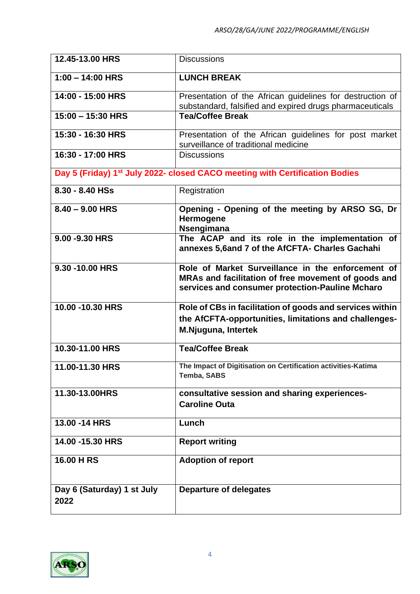| 12.45-13.00 HRS                    | <b>Discussions</b>                                                                                                                                          |
|------------------------------------|-------------------------------------------------------------------------------------------------------------------------------------------------------------|
| $1:00 - 14:00$ HRS                 | <b>LUNCH BREAK</b>                                                                                                                                          |
| 14:00 - 15:00 HRS                  | Presentation of the African guidelines for destruction of<br>substandard, falsified and expired drugs pharmaceuticals                                       |
| $15:00 - 15:30$ HRS                | <b>Tea/Coffee Break</b>                                                                                                                                     |
| 15:30 - 16:30 HRS                  | Presentation of the African guidelines for post market<br>surveillance of traditional medicine                                                              |
| 16:30 - 17:00 HRS                  | <b>Discussions</b>                                                                                                                                          |
|                                    | Day 5 (Friday) 1st July 2022- closed CACO meeting with Certification Bodies                                                                                 |
| 8.30 - 8.40 HSs                    | Registration                                                                                                                                                |
| $8.40 - 9.00$ HRS                  | Opening - Opening of the meeting by ARSO SG, Dr<br>Hermogene<br>Nsengimana                                                                                  |
| 9.00 - 9.30 HRS                    | The ACAP and its role in the implementation of<br>annexes 5,6and 7 of the AfCFTA- Charles Gachahi                                                           |
| 9.30 -10.00 HRS                    | Role of Market Surveillance in the enforcement of<br>MRAs and facilitation of free movement of goods and<br>services and consumer protection-Pauline Mcharo |
| 10.00 - 10.30 HRS                  | Role of CBs in facilitation of goods and services within<br>the AfCFTA-opportunities, limitations and challenges-<br>M.Njuguna, Intertek                    |
| 10.30-11.00 HRS                    | <b>Tea/Coffee Break</b>                                                                                                                                     |
| 11.00-11.30 HRS                    | The Impact of Digitisation on Certification activities-Katima<br>Temba, SABS                                                                                |
| 11.30-13.00HRS                     | consultative session and sharing experiences-<br><b>Caroline Outa</b>                                                                                       |
| 13.00 - 14 HRS                     | Lunch                                                                                                                                                       |
| 14.00 - 15.30 HRS                  | <b>Report writing</b>                                                                                                                                       |
| 16.00 H RS                         | <b>Adoption of report</b>                                                                                                                                   |
| Day 6 (Saturday) 1 st July<br>2022 | <b>Departure of delegates</b>                                                                                                                               |

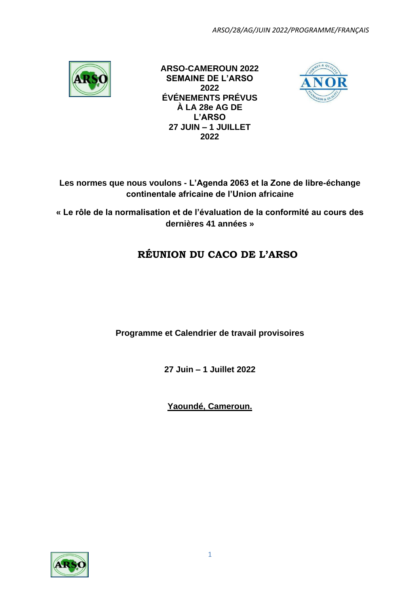

**ARSO-CAMEROUN 2022 SEMAINE DE L'ARSO 2022 ÉVÉNEMENTS PRÉVUS À LA 28e AG DE L'ARSO 27 JUIN – 1 JUILLET 2022**



## **Les normes que nous voulons - L'Agenda 2063 et la Zone de libre-échange continentale africaine de l'Union africaine**

**« Le rôle de la normalisation et de l'évaluation de la conformité au cours des dernières 41 années »**

## **RÉUNION DU CACO DE L'ARSO**

**Programme et Calendrier de travail provisoires**

**27 Juin – 1 Juillet 2022**

**Yaoundé, Cameroun.**

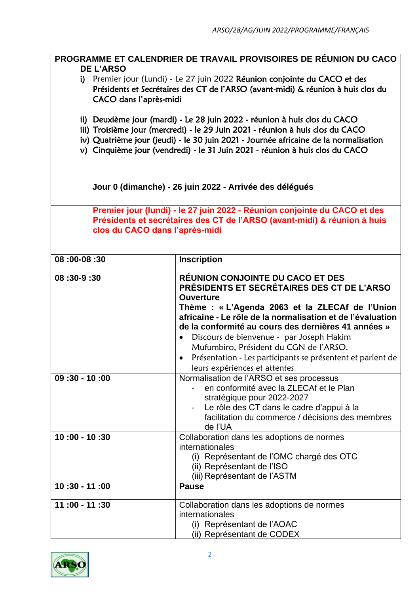|                                                                                                                                                                                                                                                                                                                                     | PROGRAMME ET CALENDRIER DE TRAVAIL PROVISOIRES DE RÉUNION DU CACO                                                                                                                                                                                                                                                                                                                                                                                                       |  |  |
|-------------------------------------------------------------------------------------------------------------------------------------------------------------------------------------------------------------------------------------------------------------------------------------------------------------------------------------|-------------------------------------------------------------------------------------------------------------------------------------------------------------------------------------------------------------------------------------------------------------------------------------------------------------------------------------------------------------------------------------------------------------------------------------------------------------------------|--|--|
| DE L'ARSO<br>i) Premier jour (Lundi) - Le 27 juin 2022 Réunion conjointe du CACO et des<br>Présidents et Secrétaires des CT de l'ARSO (avant-midi) & réunion à huis clos du<br>CACO dans l'après-midi                                                                                                                               |                                                                                                                                                                                                                                                                                                                                                                                                                                                                         |  |  |
| ii) Deuxième jour (mardi) - Le 28 juin 2022 - réunion à huis clos du CACO<br>iii) Troisième jour (mercredi) - le 29 Juin 2021 - réunion à huis clos du CACO<br>iv) Quatrième jour (jeudi) - le 30 juin 2021 - Journée africaine de la normalisation<br>v) Cinquième jour (vendredi) - le 31 Juin 2021 - réunion à huis clos du CACO |                                                                                                                                                                                                                                                                                                                                                                                                                                                                         |  |  |
| Jour 0 (dimanche) - 26 juin 2022 - Arrivée des délégués                                                                                                                                                                                                                                                                             |                                                                                                                                                                                                                                                                                                                                                                                                                                                                         |  |  |
| Premier jour (lundi) - le 27 juin 2022 - Réunion conjointe du CACO et des<br>Présidents et secrétaires des CT de l'ARSO (avant-midi) & réunion à huis<br>clos du CACO dans l'après-midi                                                                                                                                             |                                                                                                                                                                                                                                                                                                                                                                                                                                                                         |  |  |
| 08: 00-08: 00                                                                                                                                                                                                                                                                                                                       | <b>Inscription</b>                                                                                                                                                                                                                                                                                                                                                                                                                                                      |  |  |
| 08:30-9:30                                                                                                                                                                                                                                                                                                                          | RÉUNION CONJOINTE DU CACO ET DES<br><b>PRÉSIDENTS ET SECRÉTAIRES DES CT DE L'ARSO</b><br><b>Ouverture</b><br>Thème : « L'Agenda 2063 et la ZLECAf de l'Union<br>africaine - Le rôle de la normalisation et de l'évaluation<br>de la conformité au cours des dernières 41 années »<br>Discours de bienvenue - par Joseph Hakim<br>Mufumbiro, Président du CGN de l'ARSO.<br>Présentation - Les participants se présentent et parlent de<br>leurs expériences et attentes |  |  |
| $09:30 - 10:00$                                                                                                                                                                                                                                                                                                                     | Normalisation de l'ARSO et ses processus<br>en conformité avec la ZLECAf et le Plan<br>stratégique pour 2022-2027<br>Le rôle des CT dans le cadre d'appui à la<br>facilitation du commerce / décisions des membres<br>de l'UA                                                                                                                                                                                                                                           |  |  |
| 10:00 - 10:30                                                                                                                                                                                                                                                                                                                       | Collaboration dans les adoptions de normes<br>internationales<br>(i) Représentant de l'OMC chargé des OTC<br>(ii) Représentant de l'ISO<br>(iii) Représentant de l'ASTM                                                                                                                                                                                                                                                                                                 |  |  |
| 10:30 - 11:00                                                                                                                                                                                                                                                                                                                       | <b>Pause</b>                                                                                                                                                                                                                                                                                                                                                                                                                                                            |  |  |
| 11:00 - 11:30                                                                                                                                                                                                                                                                                                                       | Collaboration dans les adoptions de normes<br>internationales<br>(i) Représentant de l'AOAC<br>(ii) Représentant de CODEX                                                                                                                                                                                                                                                                                                                                               |  |  |

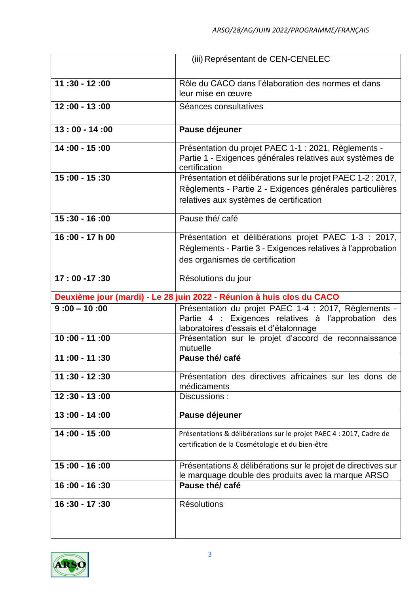|                 | (iii) Représentant de CEN-CENELEC                                                                                                                                    |
|-----------------|----------------------------------------------------------------------------------------------------------------------------------------------------------------------|
|                 |                                                                                                                                                                      |
| $11:30 - 12:00$ | Rôle du CACO dans l'élaboration des normes et dans<br>leur mise en œuvre                                                                                             |
| $12:00 - 13:00$ | Séances consultatives                                                                                                                                                |
| $13:00 - 14:00$ | Pause déjeuner                                                                                                                                                       |
| 14:00 - 15:00   | Présentation du projet PAEC 1-1 : 2021, Règlements -<br>Partie 1 - Exigences générales relatives aux systèmes de<br>certification                                    |
| 15:00 - 15:30   | Présentation et délibérations sur le projet PAEC 1-2 : 2017,<br>Règlements - Partie 2 - Exigences générales particulières<br>relatives aux systèmes de certification |
| 15:30 - 16:00   | Pause thé/ café                                                                                                                                                      |
| 16:00 - 17 h 00 | Présentation et délibérations projet PAEC 1-3 : 2017,<br>Règlements - Partie 3 - Exigences relatives à l'approbation<br>des organismes de certification              |
| $17:00 - 17:30$ | Résolutions du jour                                                                                                                                                  |
|                 | Deuxième jour (mardi) - Le 28 juin 2022 - Réunion à huis clos du CACO                                                                                                |
| $9:00 - 10:00$  | Présentation du projet PAEC 1-4 : 2017, Règlements -<br>Partie 4 : Exigences relatives à l'approbation des<br>laboratoires d'essais et d'étalonnage                  |
| 10:00 - 11:00   | Présentation sur le projet d'accord de reconnaissance<br>mutuelle                                                                                                    |
| 11:00 - 11:30   | Pause thé/ café                                                                                                                                                      |
| $11:30 - 12:30$ | Présentation des directives africaines sur les dons de<br>médicaments                                                                                                |
| $12:30 - 13:00$ | Discussions:                                                                                                                                                         |
| $13:00 - 14:00$ | Pause déjeuner                                                                                                                                                       |
| 14:00 - 15:00   | Présentations & délibérations sur le projet PAEC 4 : 2017, Cadre de<br>certification de la Cosmétologie et du bien-être                                              |
| 15:00 - 16:00   | Présentations & délibérations sur le projet de directives sur<br>le marquage double des produits avec la marque ARSO                                                 |
| 16:00 - 16:30   | Pause thé/ café                                                                                                                                                      |
| 16:30 - 17:30   | <b>Résolutions</b>                                                                                                                                                   |

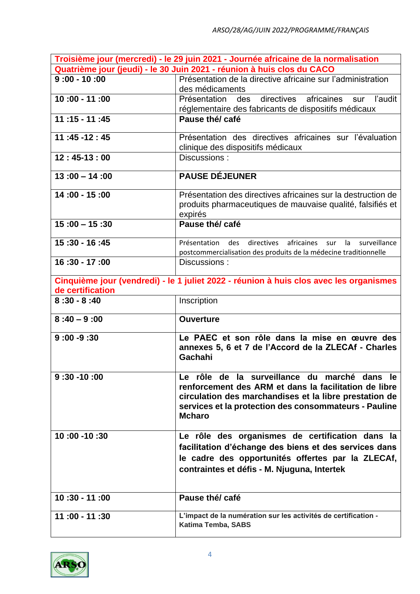|                                                                        | Troisième jour (mercredi) - le 29 juin 2021 - Journée africaine de la normalisation    |
|------------------------------------------------------------------------|----------------------------------------------------------------------------------------|
| Quatrième jour (jeudi) - le 30 Juin 2021 - réunion à huis clos du CACO |                                                                                        |
| $9:00 - 10:00$                                                         | Présentation de la directive africaine sur l'administration                            |
|                                                                        | des médicaments                                                                        |
| 10:00 - 11:00                                                          | des directives<br>africaines<br>sur l'audit<br>Présentation                            |
|                                                                        | réglementaire des fabricants de dispositifs médicaux                                   |
| $11:15 - 11:45$                                                        | Pause thé/ café                                                                        |
|                                                                        |                                                                                        |
| $11:45 - 12:45$                                                        | Présentation des directives africaines sur l'évaluation                                |
|                                                                        | clinique des dispositifs médicaux                                                      |
| $12:45-13:00$                                                          | Discussions:                                                                           |
|                                                                        |                                                                                        |
| $13:00 - 14:00$                                                        | <b>PAUSE DÉJEUNER</b>                                                                  |
|                                                                        | Présentation des directives africaines sur la destruction de                           |
| 14:00 - 15:00                                                          |                                                                                        |
|                                                                        | produits pharmaceutiques de mauvaise qualité, falsifiés et                             |
| $15:00 - 15:30$                                                        | expirés<br>Pause thé/ café                                                             |
|                                                                        |                                                                                        |
| 15:30 - 16:45                                                          | Présentation des directives africaines sur<br>surveillance<br>la                       |
|                                                                        | postcommercialisation des produits de la médecine traditionnelle                       |
| 16:30 - 17:00                                                          | Discussions:                                                                           |
|                                                                        |                                                                                        |
|                                                                        | Cinquième jour (vendredi) - le 1 juliet 2022 - réunion à huis clos avec les organismes |
| de certification                                                       |                                                                                        |
|                                                                        |                                                                                        |
| $8:30 - 8:40$                                                          | Inscription                                                                            |
| $8:40 - 9:00$                                                          | <b>Ouverture</b>                                                                       |
|                                                                        |                                                                                        |
| $9:00 - 9:30$                                                          | Le PAEC et son rôle dans la mise en œuvre des                                          |
|                                                                        | annexes 5, 6 et 7 de l'Accord de la ZLECAf - Charles                                   |
|                                                                        | Gachahi                                                                                |
|                                                                        |                                                                                        |
| $9:30 - 10:00$                                                         | Le rôle de la surveillance du marché dans le                                           |
|                                                                        | renforcement des ARM et dans la facilitation de libre                                  |
|                                                                        | circulation des marchandises et la libre prestation de                                 |
|                                                                        | services et la protection des consommateurs - Pauline                                  |
|                                                                        | <b>Mcharo</b>                                                                          |
|                                                                        |                                                                                        |
| 10:00 -10:30                                                           | Le rôle des organismes de certification dans la                                        |
|                                                                        | facilitation d'échange des biens et des services dans                                  |
|                                                                        | le cadre des opportunités offertes par la ZLECAf,                                      |
|                                                                        | contraintes et défis - M. Njuguna, Intertek                                            |
|                                                                        |                                                                                        |
|                                                                        |                                                                                        |
| $10:30 - 11:00$                                                        | Pause thé/ café                                                                        |
|                                                                        |                                                                                        |
| 11:00 - 11:30                                                          | L'impact de la numération sur les activités de certification -<br>Katima Temba, SABS   |